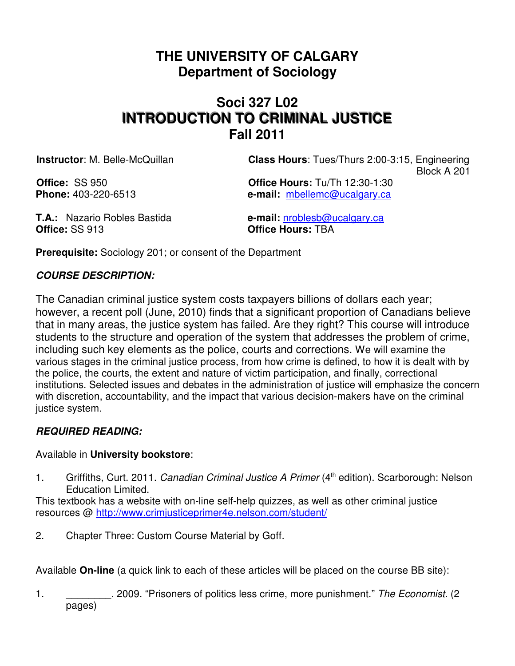# **THE UNIVERSITY OF CALGARY Department of Sociology**

# **Soci 327 L02 INTRODUCTION TO CRIMINAL JUSTICE Fall 2011**

**Instructor**: M. Belle-McQuillan **Class Hours**: Tues/Thurs 2:00-3:15, Engineering Block A 201

**Office:** SS 950 **Office Hours:** Tu/Th 12:30-1:30 **Phone:** 403-220-6513 **e-mail:** mbellemc@ucalgary.ca

**T.A.:** Nazario Robles Bastida **e-mail:** nroblesb@ucalgary.ca **Office:** SS 913 **Office Hours:** TBA

**Prerequisite:** Sociology 201; or consent of the Department

# **COURSE DESCRIPTION:**

The Canadian criminal justice system costs taxpayers billions of dollars each year; however, a recent poll (June, 2010) finds that a significant proportion of Canadians believe that in many areas, the justice system has failed. Are they right? This course will introduce students to the structure and operation of the system that addresses the problem of crime, including such key elements as the police, courts and corrections. We will examine the various stages in the criminal justice process, from how crime is defined, to how it is dealt with by the police, the courts, the extent and nature of victim participation, and finally, correctional institutions. Selected issues and debates in the administration of justice will emphasize the concern with discretion, accountability, and the impact that various decision-makers have on the criminal justice system.

# **REQUIRED READING:**

# Available in **University bookstore**:

1. Griffiths, Curt. 2011. Canadian Criminal Justice A Primer (4<sup>th</sup> edition). Scarborough: Nelson Education Limited.

This textbook has a website with on-line self-help quizzes, as well as other criminal justice resources @ http://www.crimjusticeprimer4e.nelson.com/student/

2. Chapter Three: Custom Course Material by Goff.

Available **On-line** (a quick link to each of these articles will be placed on the course BB site):

1. 2009. "Prisoners of politics less crime, more punishment." The Economist. (2 pages)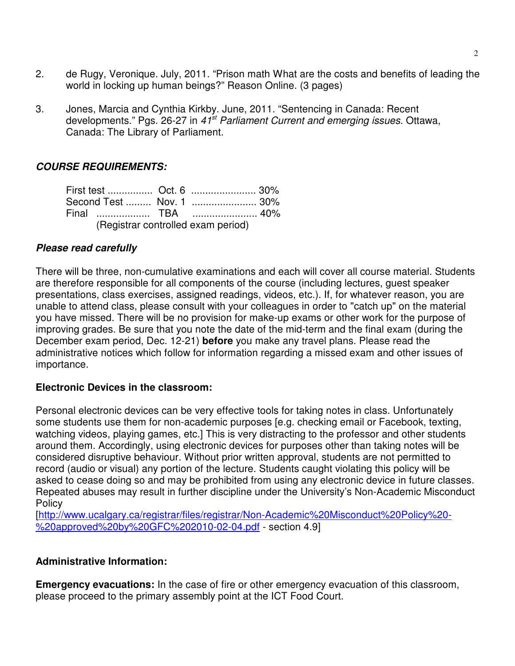- 2. de Rugy, Veronique. July, 2011. "Prison math What are the costs and benefits of leading the world in locking up human beings?" Reason Online. (3 pages)
- 3. Jones, Marcia and Cynthia Kirkby. June, 2011. "Sentencing in Canada: Recent developments." Pgs. 26-27 in 41<sup>st</sup> Parliament Current and emerging issues. Ottawa, Canada: The Library of Parliament.

## **COURSE REQUIREMENTS:**

|                                    |  |  | First test  Oct. 6  30%  |  |
|------------------------------------|--|--|--------------------------|--|
|                                    |  |  | Second Test  Nov. 1  30% |  |
|                                    |  |  |                          |  |
| (Registrar controlled exam period) |  |  |                          |  |

## **Please read carefully**

There will be three, non-cumulative examinations and each will cover all course material. Students are therefore responsible for all components of the course (including lectures, guest speaker presentations, class exercises, assigned readings, videos, etc.). If, for whatever reason, you are unable to attend class, please consult with your colleagues in order to "catch up" on the material you have missed. There will be no provision for make-up exams or other work for the purpose of improving grades. Be sure that you note the date of the mid-term and the final exam (during the December exam period, Dec. 12-21) **before** you make any travel plans. Please read the administrative notices which follow for information regarding a missed exam and other issues of importance.

#### **Electronic Devices in the classroom:**

Personal electronic devices can be very effective tools for taking notes in class. Unfortunately some students use them for non-academic purposes [e.g. checking email or Facebook, texting, watching videos, playing games, etc.] This is very distracting to the professor and other students around them. Accordingly, using electronic devices for purposes other than taking notes will be considered disruptive behaviour. Without prior written approval, students are not permitted to record (audio or visual) any portion of the lecture. Students caught violating this policy will be asked to cease doing so and may be prohibited from using any electronic device in future classes. Repeated abuses may result in further discipline under the University's Non-Academic Misconduct **Policy** 

[http://www.ucalgary.ca/registrar/files/registrar/Non-Academic%20Misconduct%20Policy%20- %20approved%20by%20GFC%202010-02-04.pdf - section 4.9]

#### **Administrative Information:**

**Emergency evacuations:** In the case of fire or other emergency evacuation of this classroom, please proceed to the primary assembly point at the ICT Food Court.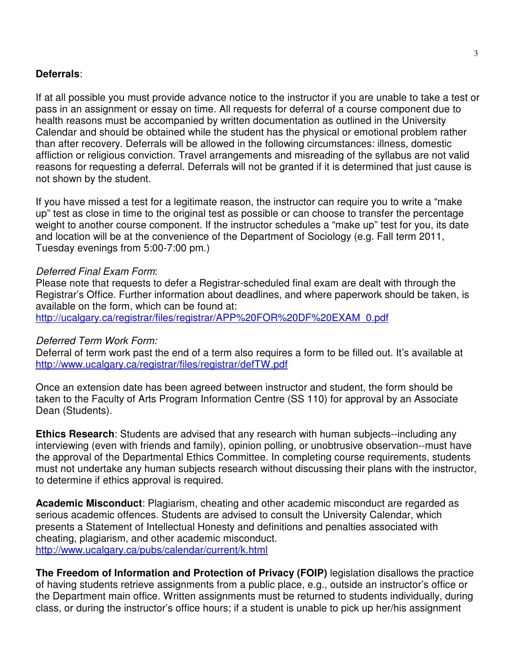#### **Deferrals**:

If at all possible you must provide advance notice to the instructor if you are unable to take a test or pass in an assignment or essay on time. All requests for deferral of a course component due to health reasons must be accompanied by written documentation as outlined in the University Calendar and should be obtained while the student has the physical or emotional problem rather than after recovery. Deferrals will be allowed in the following circumstances: illness, domestic affliction or religious conviction. Travel arrangements and misreading of the syllabus are not valid reasons for requesting a deferral. Deferrals will not be granted if it is determined that just cause is not shown by the student.

If you have missed a test for a legitimate reason, the instructor can require you to write a "make up" test as close in time to the original test as possible or can choose to transfer the percentage weight to another course component. If the instructor schedules a "make up" test for you, its date and location will be at the convenience of the Department of Sociology (e.g. Fall term 2011, Tuesday evenings from 5:00-7:00 pm.)

#### Deferred Final Exam Form:

Please note that requests to defer a Registrar-scheduled final exam are dealt with through the Registrar's Office. Further information about deadlines, and where paperwork should be taken, is available on the form, which can be found at: http://ucalgary.ca/registrar/files/registrar/APP%20FOR%20DF%20EXAM\_0.pdf

#### Deferred Term Work Form:

Deferral of term work past the end of a term also requires a form to be filled out. It's available at http://www.ucalgary.ca/registrar/files/registrar/defTW.pdf

Once an extension date has been agreed between instructor and student, the form should be taken to the Faculty of Arts Program Information Centre (SS 110) for approval by an Associate Dean (Students).

**Ethics Research**: Students are advised that any research with human subjects--including any interviewing (even with friends and family), opinion polling, or unobtrusive observation--must have the approval of the Departmental Ethics Committee. In completing course requirements, students must not undertake any human subjects research without discussing their plans with the instructor, to determine if ethics approval is required.

**Academic Misconduct**: Plagiarism, cheating and other academic misconduct are regarded as serious academic offences. Students are advised to consult the University Calendar, which presents a Statement of Intellectual Honesty and definitions and penalties associated with cheating, plagiarism, and other academic misconduct. http://www.ucalgary.ca/pubs/calendar/current/k.html

**The Freedom of Information and Protection of Privacy (FOIP)** legislation disallows the practice of having students retrieve assignments from a public place, e.g., outside an instructor's office or the Department main office. Written assignments must be returned to students individually, during class, or during the instructor's office hours; if a student is unable to pick up her/his assignment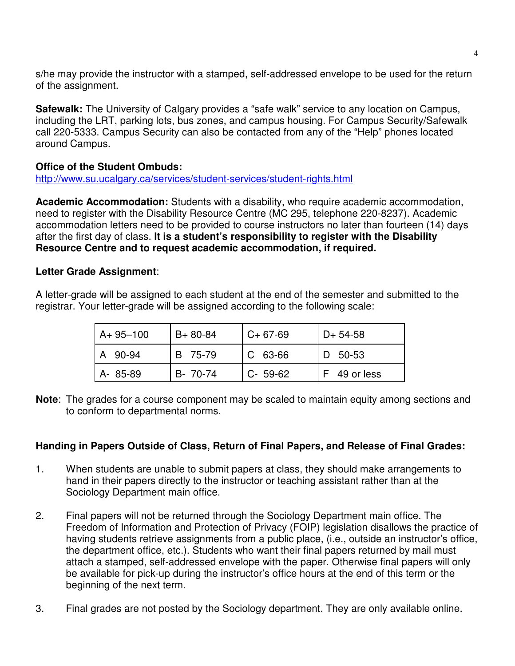s/he may provide the instructor with a stamped, self-addressed envelope to be used for the return of the assignment.

**Safewalk:** The University of Calgary provides a "safe walk" service to any location on Campus, including the LRT, parking lots, bus zones, and campus housing. For Campus Security/Safewalk call 220-5333. Campus Security can also be contacted from any of the "Help" phones located around Campus.

#### **Office of the Student Ombuds:**

http://www.su.ucalgary.ca/services/student-services/student-rights.html

**Academic Accommodation:** Students with a disability, who require academic accommodation, need to register with the Disability Resource Centre (MC 295, telephone 220-8237). Academic accommodation letters need to be provided to course instructors no later than fourteen (14) days after the first day of class. **It is a student's responsibility to register with the Disability Resource Centre and to request academic accommodation, if required.**

#### **Letter Grade Assignment**:

A letter-grade will be assigned to each student at the end of the semester and submitted to the registrar. Your letter-grade will be assigned according to the following scale:

| $A + 95 - 100$ | $B + 80 - 84$ | $C+67-69$            | $D+ 54-58$ |
|----------------|---------------|----------------------|------------|
| A 90-94        | B 75-79       | $\overline{C}$ 63-66 | D 50-53    |
| A-85-89        | B- 70-74      | $C - 59-62$          | 49 or less |

**Note**: The grades for a course component may be scaled to maintain equity among sections and to conform to departmental norms.

## **Handing in Papers Outside of Class, Return of Final Papers, and Release of Final Grades:**

- 1. When students are unable to submit papers at class, they should make arrangements to hand in their papers directly to the instructor or teaching assistant rather than at the Sociology Department main office.
- 2. Final papers will not be returned through the Sociology Department main office. The Freedom of Information and Protection of Privacy (FOIP) legislation disallows the practice of having students retrieve assignments from a public place, (i.e., outside an instructor's office, the department office, etc.). Students who want their final papers returned by mail must attach a stamped, self-addressed envelope with the paper. Otherwise final papers will only be available for pick-up during the instructor's office hours at the end of this term or the beginning of the next term.
- 3. Final grades are not posted by the Sociology department. They are only available online.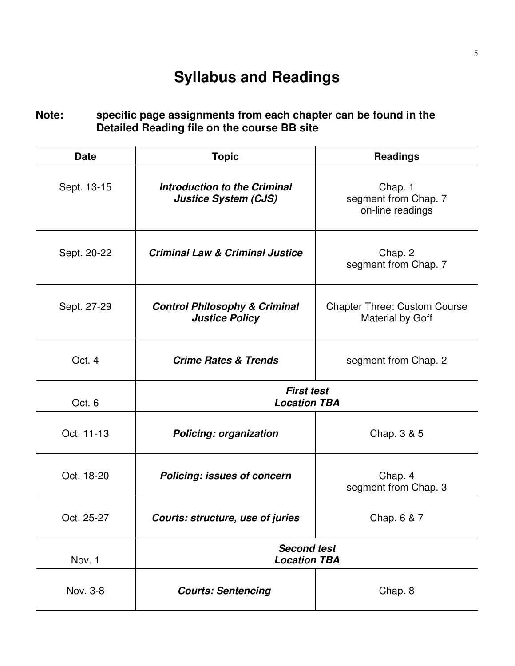# **Syllabus and Readings**

# **Note: specific page assignments from each chapter can be found in the Detailed Reading file on the course BB site**

| <b>Date</b> | <b>Topic</b>                                                       | <b>Readings</b>                                         |  |
|-------------|--------------------------------------------------------------------|---------------------------------------------------------|--|
| Sept. 13-15 | <b>Introduction to the Criminal</b><br><b>Justice System (CJS)</b> | Chap. 1<br>segment from Chap. 7<br>on-line readings     |  |
| Sept. 20-22 | <b>Criminal Law &amp; Criminal Justice</b>                         | Chap. 2<br>segment from Chap. 7                         |  |
| Sept. 27-29 | <b>Control Philosophy &amp; Criminal</b><br><b>Justice Policy</b>  | <b>Chapter Three: Custom Course</b><br>Material by Goff |  |
| Oct. 4      | <b>Crime Rates &amp; Trends</b>                                    | segment from Chap. 2                                    |  |
| Oct. 6      | <b>First test</b><br><b>Location TBA</b>                           |                                                         |  |
| Oct. 11-13  | <b>Policing: organization</b>                                      | Chap. 3 & 5                                             |  |
| Oct. 18-20  | <b>Policing: issues of concern</b>                                 | Chap. 4<br>segment from Chap. 3                         |  |
| Oct. 25-27  | Courts: structure, use of juries                                   | Chap. 6 & 7                                             |  |
| Nov. 1      | <b>Second test</b><br><b>Location TBA</b>                          |                                                         |  |
| Nov. 3-8    | <b>Courts: Sentencing</b>                                          | Chap. 8                                                 |  |